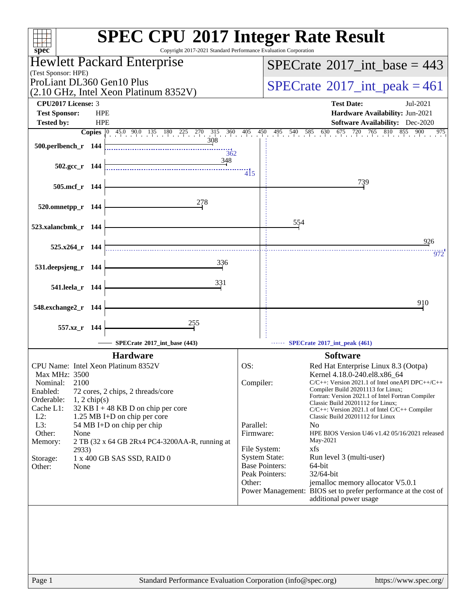| $spec^*$                                                                                                                                                                                                                                                                                                                                                                                                                                        | <b>SPEC CPU®2017 Integer Rate Result</b><br>Copyright 2017-2021 Standard Performance Evaluation Corporation                                                                                                                                                                                                                                                                                                                                                                                                                                                                                                                                                                                                                                                                 |
|-------------------------------------------------------------------------------------------------------------------------------------------------------------------------------------------------------------------------------------------------------------------------------------------------------------------------------------------------------------------------------------------------------------------------------------------------|-----------------------------------------------------------------------------------------------------------------------------------------------------------------------------------------------------------------------------------------------------------------------------------------------------------------------------------------------------------------------------------------------------------------------------------------------------------------------------------------------------------------------------------------------------------------------------------------------------------------------------------------------------------------------------------------------------------------------------------------------------------------------------|
| Hewlett Packard Enterprise                                                                                                                                                                                                                                                                                                                                                                                                                      | $SPECrate^{\circledast}2017\_int\_base = 443$                                                                                                                                                                                                                                                                                                                                                                                                                                                                                                                                                                                                                                                                                                                               |
| (Test Sponsor: HPE)                                                                                                                                                                                                                                                                                                                                                                                                                             |                                                                                                                                                                                                                                                                                                                                                                                                                                                                                                                                                                                                                                                                                                                                                                             |
| ProLiant DL360 Gen10 Plus<br>(2.10 GHz, Intel Xeon Platinum 8352V)                                                                                                                                                                                                                                                                                                                                                                              | $SPECrate^{\circ}2017\_int\_peak = 461$                                                                                                                                                                                                                                                                                                                                                                                                                                                                                                                                                                                                                                                                                                                                     |
| CPU2017 License: 3                                                                                                                                                                                                                                                                                                                                                                                                                              | <b>Test Date:</b><br>Jul-2021                                                                                                                                                                                                                                                                                                                                                                                                                                                                                                                                                                                                                                                                                                                                               |
| <b>Test Sponsor:</b><br><b>HPE</b>                                                                                                                                                                                                                                                                                                                                                                                                              | Hardware Availability: Jun-2021                                                                                                                                                                                                                                                                                                                                                                                                                                                                                                                                                                                                                                                                                                                                             |
| <b>HPE</b><br><b>Tested by:</b>                                                                                                                                                                                                                                                                                                                                                                                                                 | <b>Software Availability:</b> Dec-2020                                                                                                                                                                                                                                                                                                                                                                                                                                                                                                                                                                                                                                                                                                                                      |
| $45.0$ 90.0 135 180 225 270<br>$315$ $360$ $4$<br><b>Copies</b><br>308<br>500.perlbench_r 144<br>362<br>348                                                                                                                                                                                                                                                                                                                                     | $\frac{405}{1}$<br>495 540 585 630 675 720 765 810 855 900<br>$\frac{450}{1}$<br>975                                                                                                                                                                                                                                                                                                                                                                                                                                                                                                                                                                                                                                                                                        |
| 502.gcc r 144                                                                                                                                                                                                                                                                                                                                                                                                                                   | $\overline{4}$ <sub>15</sub>                                                                                                                                                                                                                                                                                                                                                                                                                                                                                                                                                                                                                                                                                                                                                |
| 505.mcf r 144                                                                                                                                                                                                                                                                                                                                                                                                                                   | 739                                                                                                                                                                                                                                                                                                                                                                                                                                                                                                                                                                                                                                                                                                                                                                         |
| 278<br>520.omnetpp_r 144                                                                                                                                                                                                                                                                                                                                                                                                                        |                                                                                                                                                                                                                                                                                                                                                                                                                                                                                                                                                                                                                                                                                                                                                                             |
| 523.xalancbmk_r 144                                                                                                                                                                                                                                                                                                                                                                                                                             | 554                                                                                                                                                                                                                                                                                                                                                                                                                                                                                                                                                                                                                                                                                                                                                                         |
| $525.x264$ r 144                                                                                                                                                                                                                                                                                                                                                                                                                                | 926                                                                                                                                                                                                                                                                                                                                                                                                                                                                                                                                                                                                                                                                                                                                                                         |
| 336<br>531.deepsjeng_r 144                                                                                                                                                                                                                                                                                                                                                                                                                      | 972                                                                                                                                                                                                                                                                                                                                                                                                                                                                                                                                                                                                                                                                                                                                                                         |
| 331                                                                                                                                                                                                                                                                                                                                                                                                                                             |                                                                                                                                                                                                                                                                                                                                                                                                                                                                                                                                                                                                                                                                                                                                                                             |
| 541.leela_r 144                                                                                                                                                                                                                                                                                                                                                                                                                                 |                                                                                                                                                                                                                                                                                                                                                                                                                                                                                                                                                                                                                                                                                                                                                                             |
| 548.exchange2_r 144                                                                                                                                                                                                                                                                                                                                                                                                                             | 910                                                                                                                                                                                                                                                                                                                                                                                                                                                                                                                                                                                                                                                                                                                                                                         |
| 255<br>557.xz_r 144                                                                                                                                                                                                                                                                                                                                                                                                                             |                                                                                                                                                                                                                                                                                                                                                                                                                                                                                                                                                                                                                                                                                                                                                                             |
| SPECrate®2017_int_base (443)                                                                                                                                                                                                                                                                                                                                                                                                                    | SPECrate®2017_int_peak (461)                                                                                                                                                                                                                                                                                                                                                                                                                                                                                                                                                                                                                                                                                                                                                |
| <b>Hardware</b>                                                                                                                                                                                                                                                                                                                                                                                                                                 | <b>Software</b>                                                                                                                                                                                                                                                                                                                                                                                                                                                                                                                                                                                                                                                                                                                                                             |
| CPU Name: Intel Xeon Platinum 8352V<br>Max MHz: 3500<br>2100<br>Nominal:<br>Enabled:<br>72 cores, 2 chips, 2 threads/core<br>Orderable:<br>$1, 2$ chip(s)<br>Cache L1:<br>32 KB I + 48 KB D on chip per core<br>$L2$ :<br>1.25 MB I+D on chip per core<br>L3:<br>54 MB I+D on chip per chip<br>Other:<br>None<br>Memory:<br>2 TB (32 x 64 GB 2Rx4 PC4-3200AA-R, running at<br>2933)<br>1 x 400 GB SAS SSD, RAID 0<br>Storage:<br>Other:<br>None | OS:<br>Red Hat Enterprise Linux 8.3 (Ootpa)<br>Kernel 4.18.0-240.el8.x86_64<br>Compiler:<br>$C/C++$ : Version 2021.1 of Intel one API DPC++/C++<br>Compiler Build 20201113 for Linux;<br>Fortran: Version 2021.1 of Intel Fortran Compiler<br>Classic Build 20201112 for Linux;<br>$C/C++$ : Version 2021.1 of Intel $C/C++$ Compiler<br>Classic Build 20201112 for Linux<br>Parallel:<br>N <sub>0</sub><br>Firmware:<br>HPE BIOS Version U46 v1.42 05/16/2021 released<br>May-2021<br>File System:<br>xfs<br><b>System State:</b><br>Run level 3 (multi-user)<br><b>Base Pointers:</b><br>64-bit<br>Peak Pointers:<br>32/64-bit<br>Other:<br>jemalloc memory allocator V5.0.1<br>Power Management: BIOS set to prefer performance at the cost of<br>additional power usage |
| Page 1                                                                                                                                                                                                                                                                                                                                                                                                                                          | Standard Performance Evaluation Corporation (info@spec.org)<br>https://www.spec.org/                                                                                                                                                                                                                                                                                                                                                                                                                                                                                                                                                                                                                                                                                        |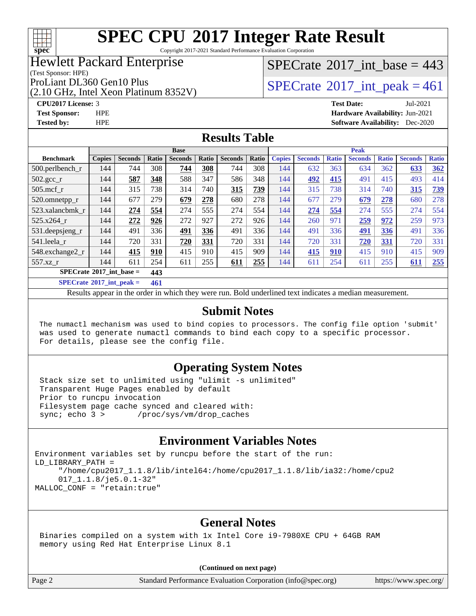

Copyright 2017-2021 Standard Performance Evaluation Corporation

#### Hewlett Packard Enterprise

(Test Sponsor: HPE)

(2.10 GHz, Intel Xeon Platinum 8352V)

 $SPECrate$ <sup>®</sup>[2017\\_int\\_base =](http://www.spec.org/auto/cpu2017/Docs/result-fields.html#SPECrate2017intbase) 443

ProLiant DL360 Gen10 Plus  $\begin{array}{c} | \text{SPECrate} \textcirc 2017\_int\_peak = 461 \end{array}$  $\begin{array}{c} | \text{SPECrate} \textcirc 2017\_int\_peak = 461 \end{array}$  $\begin{array}{c} | \text{SPECrate} \textcirc 2017\_int\_peak = 461 \end{array}$ 

**[CPU2017 License:](http://www.spec.org/auto/cpu2017/Docs/result-fields.html#CPU2017License)** 3 **[Test Date:](http://www.spec.org/auto/cpu2017/Docs/result-fields.html#TestDate)** Jul-2021 **[Test Sponsor:](http://www.spec.org/auto/cpu2017/Docs/result-fields.html#TestSponsor)** HPE **[Hardware Availability:](http://www.spec.org/auto/cpu2017/Docs/result-fields.html#HardwareAvailability)** Jun-2021 **[Tested by:](http://www.spec.org/auto/cpu2017/Docs/result-fields.html#Testedby)** HPE **[Software Availability:](http://www.spec.org/auto/cpu2017/Docs/result-fields.html#SoftwareAvailability)** Dec-2020

#### **[Results Table](http://www.spec.org/auto/cpu2017/Docs/result-fields.html#ResultsTable)**

|                                            | <b>Base</b>   |                |                |                |       |                |       | <b>Peak</b>   |                |              |                |              |                |              |
|--------------------------------------------|---------------|----------------|----------------|----------------|-------|----------------|-------|---------------|----------------|--------------|----------------|--------------|----------------|--------------|
| <b>Benchmark</b>                           | <b>Copies</b> | <b>Seconds</b> | Ratio          | <b>Seconds</b> | Ratio | <b>Seconds</b> | Ratio | <b>Copies</b> | <b>Seconds</b> | <b>Ratio</b> | <b>Seconds</b> | <b>Ratio</b> | <b>Seconds</b> | <b>Ratio</b> |
| $500.$ perlbench_r                         | 144           | 744            | 308            | 744            | 308   | 744            | 308   | 144           | 632            | 363          | 634            | 362          | 633            | 362          |
| 502.gcc_r                                  | 144           | 587            | 348            | 588            | 347   | 586            | 348   | 144           | 492            | 415          | 491            | 415          | 493            | 414          |
| $505$ .mcf r                               | 144           | 315            | 738            | 314            | 740   | 315            | 739   | 144           | 315            | 738          | 314            | 740          | 315            | <u>739</u>   |
| 520.omnetpp_r                              | 144           | 677            | 279            | 679            | 278   | 680            | 278   | 144           | 677            | 279          | 679            | 278          | 680            | 278          |
| 523.xalancbmk r                            | 144           | 274            | 554            | 274            | 555   | 274            | 554   | 144           | 274            | 554          | 274            | 555          | 274            | 554          |
| 525.x264 r                                 | 144           | 272            | 926            | 272            | 927   | 272            | 926   | 144           | 260            | 971          | 259            | 972          | 259            | 973          |
| 531.deepsjeng_r                            | 144           | 491            | 336            | 491            | 336   | 491            | 336   | 144           | 491            | 336          | 491            | 336          | 491            | 336          |
| 541.leela r                                | 144           | 720            | 331            | 720            | 331   | 720            | 331   | 144           | 720            | 331          | 720            | <u>331</u>   | 720            | 331          |
| 548.exchange2_r                            | 144           | 415            | 910            | 415            | 910   | 415            | 909   | 144           | 415            | 910          | 415            | 910          | 415            | 909          |
| 557.xz r                                   | 144           | 611            | 254            | 611            | 255   | 611            | 255   | 144           | 611            | 254          | 611            | 255          | 611            | 255          |
| $SPECrate^{\circ}2017$ int base =<br>443   |               |                |                |                |       |                |       |               |                |              |                |              |                |              |
| $CDFC_{\text{not}}(0)$ $017$ int neels $-$ |               |                | $\overline{1}$ |                |       |                |       |               |                |              |                |              |                |              |

**[SPECrate](http://www.spec.org/auto/cpu2017/Docs/result-fields.html#SPECrate2017intpeak)[2017\\_int\\_peak =](http://www.spec.org/auto/cpu2017/Docs/result-fields.html#SPECrate2017intpeak) 461**

Results appear in the [order in which they were run](http://www.spec.org/auto/cpu2017/Docs/result-fields.html#RunOrder). Bold underlined text [indicates a median measurement](http://www.spec.org/auto/cpu2017/Docs/result-fields.html#Median).

#### **[Submit Notes](http://www.spec.org/auto/cpu2017/Docs/result-fields.html#SubmitNotes)**

 The numactl mechanism was used to bind copies to processors. The config file option 'submit' was used to generate numactl commands to bind each copy to a specific processor. For details, please see the config file.

#### **[Operating System Notes](http://www.spec.org/auto/cpu2017/Docs/result-fields.html#OperatingSystemNotes)**

 Stack size set to unlimited using "ulimit -s unlimited" Transparent Huge Pages enabled by default Prior to runcpu invocation Filesystem page cache synced and cleared with: sync; echo 3 > /proc/sys/vm/drop\_caches

#### **[Environment Variables Notes](http://www.spec.org/auto/cpu2017/Docs/result-fields.html#EnvironmentVariablesNotes)**

```
Environment variables set by runcpu before the start of the run:
LD_LIBRARY_PATH =
      "/home/cpu2017_1.1.8/lib/intel64:/home/cpu2017_1.1.8/lib/ia32:/home/cpu2
      017_1.1.8/je5.0.1-32"
MALLOC_CONF = "retain:true"
```
#### **[General Notes](http://www.spec.org/auto/cpu2017/Docs/result-fields.html#GeneralNotes)**

 Binaries compiled on a system with 1x Intel Core i9-7980XE CPU + 64GB RAM memory using Red Hat Enterprise Linux 8.1

#### **(Continued on next page)**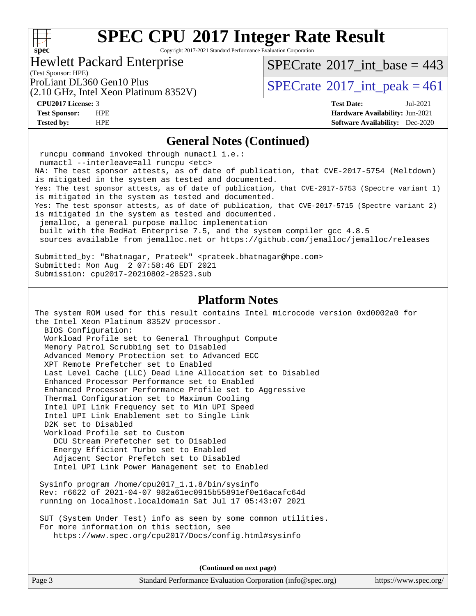#### $+\hskip -1.5pt +\hskip -1.5pt +$ **[spec](http://www.spec.org/)**

# **[SPEC CPU](http://www.spec.org/auto/cpu2017/Docs/result-fields.html#SPECCPU2017IntegerRateResult)[2017 Integer Rate Result](http://www.spec.org/auto/cpu2017/Docs/result-fields.html#SPECCPU2017IntegerRateResult)**

Copyright 2017-2021 Standard Performance Evaluation Corporation

#### Hewlett Packard Enterprise

 $SPECrate$ <sup>®</sup>[2017\\_int\\_base =](http://www.spec.org/auto/cpu2017/Docs/result-fields.html#SPECrate2017intbase) 443

(Test Sponsor: HPE)

(2.10 GHz, Intel Xeon Platinum 8352V)

ProLiant DL360 Gen10 Plus  $\text{SPECrate}^{\otimes}2017\_int\_peak = 461$  $\text{SPECrate}^{\otimes}2017\_int\_peak = 461$  $\text{SPECrate}^{\otimes}2017\_int\_peak = 461$ 

**[CPU2017 License:](http://www.spec.org/auto/cpu2017/Docs/result-fields.html#CPU2017License)** 3 **[Test Date:](http://www.spec.org/auto/cpu2017/Docs/result-fields.html#TestDate)** Jul-2021 **[Test Sponsor:](http://www.spec.org/auto/cpu2017/Docs/result-fields.html#TestSponsor)** HPE **[Hardware Availability:](http://www.spec.org/auto/cpu2017/Docs/result-fields.html#HardwareAvailability)** Jun-2021 **[Tested by:](http://www.spec.org/auto/cpu2017/Docs/result-fields.html#Testedby)** HPE **[Software Availability:](http://www.spec.org/auto/cpu2017/Docs/result-fields.html#SoftwareAvailability)** Dec-2020

#### **[General Notes \(Continued\)](http://www.spec.org/auto/cpu2017/Docs/result-fields.html#GeneralNotes)**

 runcpu command invoked through numactl i.e.: numactl --interleave=all runcpu <etc> NA: The test sponsor attests, as of date of publication, that CVE-2017-5754 (Meltdown) is mitigated in the system as tested and documented. Yes: The test sponsor attests, as of date of publication, that CVE-2017-5753 (Spectre variant 1) is mitigated in the system as tested and documented. Yes: The test sponsor attests, as of date of publication, that CVE-2017-5715 (Spectre variant 2) is mitigated in the system as tested and documented. jemalloc, a general purpose malloc implementation built with the RedHat Enterprise 7.5, and the system compiler gcc 4.8.5 sources available from jemalloc.net or<https://github.com/jemalloc/jemalloc/releases> Submitted\_by: "Bhatnagar, Prateek" <prateek.bhatnagar@hpe.com> Submitted: Mon Aug 2 07:58:46 EDT 2021 Submission: cpu2017-20210802-28523.sub **[Platform Notes](http://www.spec.org/auto/cpu2017/Docs/result-fields.html#PlatformNotes)** The system ROM used for this result contains Intel microcode version 0xd0002a0 for the Intel Xeon Platinum 8352V processor. BIOS Configuration: Workload Profile set to General Throughput Compute Memory Patrol Scrubbing set to Disabled Advanced Memory Protection set to Advanced ECC XPT Remote Prefetcher set to Enabled Last Level Cache (LLC) Dead Line Allocation set to Disabled Enhanced Processor Performance set to Enabled Enhanced Processor Performance Profile set to Aggressive Thermal Configuration set to Maximum Cooling Intel UPI Link Frequency set to Min UPI Speed Intel UPI Link Enablement set to Single Link D2K set to Disabled Workload Profile set to Custom DCU Stream Prefetcher set to Disabled Energy Efficient Turbo set to Enabled Adjacent Sector Prefetch set to Disabled Intel UPI Link Power Management set to Enabled Sysinfo program /home/cpu2017\_1.1.8/bin/sysinfo Rev: r6622 of 2021-04-07 982a61ec0915b55891ef0e16acafc64d running on localhost.localdomain Sat Jul 17 05:43:07 2021 SUT (System Under Test) info as seen by some common utilities. For more information on this section, see <https://www.spec.org/cpu2017/Docs/config.html#sysinfo>

**(Continued on next page)**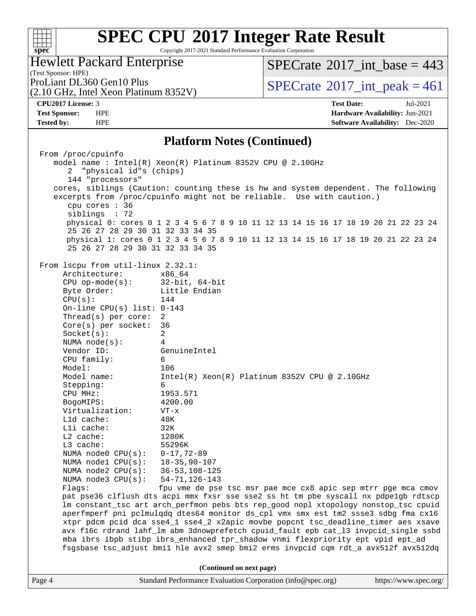#### **[SPEC CPU](http://www.spec.org/auto/cpu2017/Docs/result-fields.html#SPECCPU2017IntegerRateResult)[2017 Integer Rate Result](http://www.spec.org/auto/cpu2017/Docs/result-fields.html#SPECCPU2017IntegerRateResult)**  $+\!\!+\!\!$ **[spec](http://www.spec.org/)** Copyright 2017-2021 Standard Performance Evaluation Corporation Hewlett Packard Enterprise  $SPECTate$ <sup>®</sup>[2017\\_int\\_base =](http://www.spec.org/auto/cpu2017/Docs/result-fields.html#SPECrate2017intbase) 443 (Test Sponsor: HPE) ProLiant DL360 Gen10 Plus  $\text{SPECrate}^{\circ}2017\_int\_peak = 461$  $\text{SPECrate}^{\circ}2017\_int\_peak = 461$  $\text{SPECrate}^{\circ}2017\_int\_peak = 461$ (2.10 GHz, Intel Xeon Platinum 8352V) **[CPU2017 License:](http://www.spec.org/auto/cpu2017/Docs/result-fields.html#CPU2017License)** 3 **[Test Date:](http://www.spec.org/auto/cpu2017/Docs/result-fields.html#TestDate)** Jul-2021 **[Test Sponsor:](http://www.spec.org/auto/cpu2017/Docs/result-fields.html#TestSponsor)** HPE **[Hardware Availability:](http://www.spec.org/auto/cpu2017/Docs/result-fields.html#HardwareAvailability)** Jun-2021 **[Tested by:](http://www.spec.org/auto/cpu2017/Docs/result-fields.html#Testedby)** HPE **[Software Availability:](http://www.spec.org/auto/cpu2017/Docs/result-fields.html#SoftwareAvailability)** Dec-2020 **[Platform Notes \(Continued\)](http://www.spec.org/auto/cpu2017/Docs/result-fields.html#PlatformNotes)** From /proc/cpuinfo model name : Intel(R) Xeon(R) Platinum 8352V CPU @ 2.10GHz 2 "physical id"s (chips) 144 "processors" cores, siblings (Caution: counting these is hw and system dependent. The following excerpts from /proc/cpuinfo might not be reliable. Use with caution.) cpu cores : 36 siblings : 72 physical 0: cores 0 1 2 3 4 5 6 7 8 9 10 11 12 13 14 15 16 17 18 19 20 21 22 23 24 25 26 27 28 29 30 31 32 33 34 35 physical 1: cores 0 1 2 3 4 5 6 7 8 9 10 11 12 13 14 15 16 17 18 19 20 21 22 23 24 25 26 27 28 29 30 31 32 33 34 35 From lscpu from util-linux 2.32.1: Architecture: x86\_64 CPU op-mode(s): 32-bit, 64-bit Byte Order: Little Endian  $CPU(s):$  144 On-line CPU(s) list: 0-143 Thread(s) per core: 2 Core(s) per socket: 36 Socket(s): 2 NUMA node(s): 4 Vendor ID: GenuineIntel CPU family: 6 Model: 106 Model name: Intel(R) Xeon(R) Platinum 8352V CPU @ 2.10GHz Stepping: 6 CPU MHz: 1953.571 BogoMIPS: 4200.00 Virtualization: VT-x L1d cache: 48K L1i cache: 32K L2 cache: 1280K L3 cache: 55296K NUMA node0 CPU(s): 0-17,72-89 NUMA node1 CPU(s): 18-35,90-107 NUMA node2 CPU(s): 36-53,108-125 NUMA node3 CPU(s): 54-71,126-143 Flags: fpu vme de pse tsc msr pae mce cx8 apic sep mtrr pge mca cmov pat pse36 clflush dts acpi mmx fxsr sse sse2 ss ht tm pbe syscall nx pdpe1gb rdtscp lm constant\_tsc art arch\_perfmon pebs bts rep\_good nopl xtopology nonstop\_tsc cpuid aperfmperf pni pclmulqdq dtes64 monitor ds\_cpl vmx smx est tm2 ssse3 sdbg fma cx16 xtpr pdcm pcid dca sse4\_1 sse4\_2 x2apic movbe popcnt tsc\_deadline\_timer aes xsave avx f16c rdrand lahf\_lm abm 3dnowprefetch cpuid\_fault epb cat\_l3 invpcid\_single ssbd mba ibrs ibpb stibp ibrs\_enhanced tpr\_shadow vnmi flexpriority ept vpid ept\_ad fsgsbase tsc\_adjust bmi1 hle avx2 smep bmi2 erms invpcid cqm rdt\_a avx512f avx512dq **(Continued on next page)**Page 4 Standard Performance Evaluation Corporation [\(info@spec.org\)](mailto:info@spec.org) <https://www.spec.org/>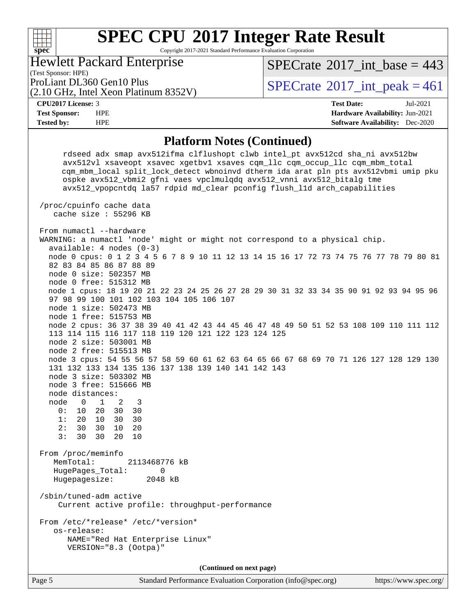#### **[SPEC CPU](http://www.spec.org/auto/cpu2017/Docs/result-fields.html#SPECCPU2017IntegerRateResult)[2017 Integer Rate Result](http://www.spec.org/auto/cpu2017/Docs/result-fields.html#SPECCPU2017IntegerRateResult)**  $+\!\!+\!\!$ **[spec](http://www.spec.org/)** Copyright 2017-2021 Standard Performance Evaluation Corporation Hewlett Packard Enterprise  $SPECTate$ <sup>®</sup>[2017\\_int\\_base =](http://www.spec.org/auto/cpu2017/Docs/result-fields.html#SPECrate2017intbase) 443 (Test Sponsor: HPE) ProLiant DL360 Gen10 Plus  $\text{SPECrate}^{\circ}2017\_int\_peak = 461$  $\text{SPECrate}^{\circ}2017\_int\_peak = 461$  $\text{SPECrate}^{\circ}2017\_int\_peak = 461$ (2.10 GHz, Intel Xeon Platinum 8352V) **[CPU2017 License:](http://www.spec.org/auto/cpu2017/Docs/result-fields.html#CPU2017License)** 3 **[Test Date:](http://www.spec.org/auto/cpu2017/Docs/result-fields.html#TestDate)** Jul-2021 **[Test Sponsor:](http://www.spec.org/auto/cpu2017/Docs/result-fields.html#TestSponsor)** HPE **[Hardware Availability:](http://www.spec.org/auto/cpu2017/Docs/result-fields.html#HardwareAvailability)** Jun-2021 **[Tested by:](http://www.spec.org/auto/cpu2017/Docs/result-fields.html#Testedby)** HPE **[Software Availability:](http://www.spec.org/auto/cpu2017/Docs/result-fields.html#SoftwareAvailability)** Dec-2020 **[Platform Notes \(Continued\)](http://www.spec.org/auto/cpu2017/Docs/result-fields.html#PlatformNotes)** rdseed adx smap avx512ifma clflushopt clwb intel\_pt avx512cd sha\_ni avx512bw avx512vl xsaveopt xsavec xgetbv1 xsaves cqm\_llc cqm\_occup\_llc cqm\_mbm\_total cqm\_mbm\_local split\_lock\_detect wbnoinvd dtherm ida arat pln pts avx512vbmi umip pku ospke avx512\_vbmi2 gfni vaes vpclmulqdq avx512\_vnni avx512\_bitalg tme avx512\_vpopcntdq la57 rdpid md\_clear pconfig flush\_l1d arch\_capabilities /proc/cpuinfo cache data cache size : 55296 KB From numactl --hardware WARNING: a numactl 'node' might or might not correspond to a physical chip. available: 4 nodes (0-3) node 0 cpus: 0 1 2 3 4 5 6 7 8 9 10 11 12 13 14 15 16 17 72 73 74 75 76 77 78 79 80 81 82 83 84 85 86 87 88 89 node 0 size: 502357 MB node 0 free: 515312 MB node 1 cpus: 18 19 20 21 22 23 24 25 26 27 28 29 30 31 32 33 34 35 90 91 92 93 94 95 96 97 98 99 100 101 102 103 104 105 106 107 node 1 size: 502473 MB node 1 free: 515753 MB node 2 cpus: 36 37 38 39 40 41 42 43 44 45 46 47 48 49 50 51 52 53 108 109 110 111 112 113 114 115 116 117 118 119 120 121 122 123 124 125 node 2 size: 503001 MB node 2 free: 515513 MB node 3 cpus: 54 55 56 57 58 59 60 61 62 63 64 65 66 67 68 69 70 71 126 127 128 129 130 131 132 133 134 135 136 137 138 139 140 141 142 143 node 3 size: 503302 MB node 3 free: 515666 MB node distances: node 0 1 2 3 0: 10 20 30 30

 1: 20 10 30 30 2: 30 30 10 20

3: 30 30 20 10

 From /proc/meminfo MemTotal: 2113468776 kB HugePages\_Total: 0 Hugepagesize: 2048 kB

 /sbin/tuned-adm active Current active profile: throughput-performance

 From /etc/\*release\* /etc/\*version\* os-release: NAME="Red Hat Enterprise Linux" VERSION="8.3 (Ootpa)"

**(Continued on next page)**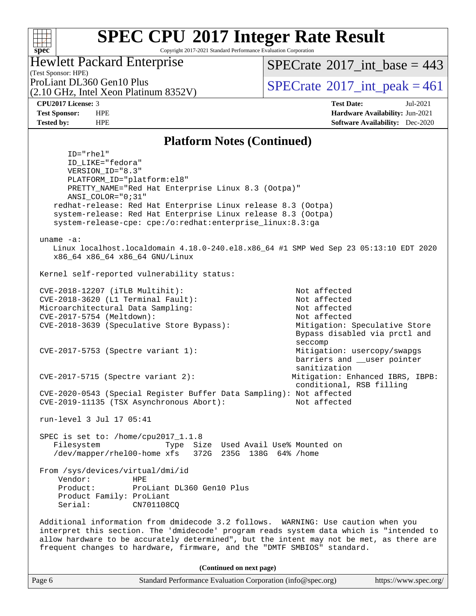#### **[SPEC CPU](http://www.spec.org/auto/cpu2017/Docs/result-fields.html#SPECCPU2017IntegerRateResult)[2017 Integer Rate Result](http://www.spec.org/auto/cpu2017/Docs/result-fields.html#SPECCPU2017IntegerRateResult)**  $+\!+\!$ **[spec](http://www.spec.org/)** Copyright 2017-2021 Standard Performance Evaluation Corporation Hewlett Packard Enterprise  $SPECrate$ <sup>®</sup>[2017\\_int\\_base =](http://www.spec.org/auto/cpu2017/Docs/result-fields.html#SPECrate2017intbase) 443 (Test Sponsor: HPE) ProLiant DL360 Gen10 Plus  $\text{SPECrate}^{\otimes}2017\_int\_peak = 461$  $\text{SPECrate}^{\otimes}2017\_int\_peak = 461$  $\text{SPECrate}^{\otimes}2017\_int\_peak = 461$ (2.10 GHz, Intel Xeon Platinum 8352V) **[CPU2017 License:](http://www.spec.org/auto/cpu2017/Docs/result-fields.html#CPU2017License)** 3 **[Test Date:](http://www.spec.org/auto/cpu2017/Docs/result-fields.html#TestDate)** Jul-2021 **[Test Sponsor:](http://www.spec.org/auto/cpu2017/Docs/result-fields.html#TestSponsor)** HPE **[Hardware Availability:](http://www.spec.org/auto/cpu2017/Docs/result-fields.html#HardwareAvailability)** Jun-2021 **[Tested by:](http://www.spec.org/auto/cpu2017/Docs/result-fields.html#Testedby)** HPE **[Software Availability:](http://www.spec.org/auto/cpu2017/Docs/result-fields.html#SoftwareAvailability)** Dec-2020 **[Platform Notes \(Continued\)](http://www.spec.org/auto/cpu2017/Docs/result-fields.html#PlatformNotes)**

Linux localhost.localdomain 4.18.0-240.el8.x86\_64 #1 SMP Wed Sep 23 05:13:10 EDT 2020

CVE-2018-3639 (Speculative Store Bypass): Mitigation: Speculative Store

CVE-2017-5715 (Spectre variant 2): Mitigation: Enhanced IBRS, IBPB:

CVE-2017-5753 (Spectre variant 1): Mitigation: usercopy/swapgs

Bypass disabled via prctl and

barriers and \_\_user pointer

conditional, RSB filling

seccomp

sanitization

ID="rhel"

uname -a:

 ID\_LIKE="fedora" VERSION\_ID="8.3"

ANSI\_COLOR="0;31"

run-level 3 Jul 17 05:41

SPEC is set to: /home/cpu2017\_1.1.8

Product: ProLiant DL360 Gen10 Plus

 From /sys/devices/virtual/dmi/id Vendor: HPE

> Product Family: ProLiant Serial: CN701108CQ

PLATFORM\_ID="platform:el8"

x86\_64 x86\_64 x86\_64 GNU/Linux

Kernel self-reported vulnerability status:

PRETTY\_NAME="Red Hat Enterprise Linux 8.3 (Ootpa)"

 redhat-release: Red Hat Enterprise Linux release 8.3 (Ootpa) system-release: Red Hat Enterprise Linux release 8.3 (Ootpa) system-release-cpe: cpe:/o:redhat:enterprise\_linux:8.3:ga

 CVE-2018-12207 (iTLB Multihit): Not affected CVE-2018-3620 (L1 Terminal Fault): Not affected Microarchitectural Data Sampling: Not affected CVE-2017-5754 (Meltdown): Not affected

 CVE-2020-0543 (Special Register Buffer Data Sampling): Not affected CVE-2019-11135 (TSX Asynchronous Abort): Not affected

 Filesystem Type Size Used Avail Use% Mounted on /dev/mapper/rhel00-home xfs 372G 235G 138G 64% /home

frequent changes to hardware, firmware, and the "DMTF SMBIOS" standard.

**(Continued on next page)**

 Additional information from dmidecode 3.2 follows. WARNING: Use caution when you interpret this section. The 'dmidecode' program reads system data which is "intended to allow hardware to be accurately determined", but the intent may not be met, as there are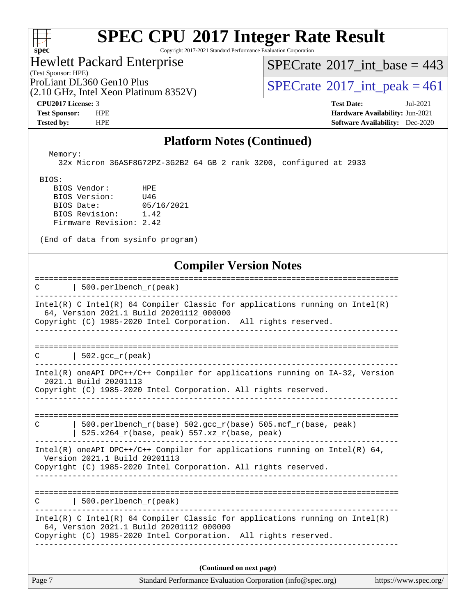

Copyright 2017-2021 Standard Performance Evaluation Corporation

#### (Test Sponsor: HPE) Hewlett Packard Enterprise

(2.10 GHz, Intel Xeon Platinum 8352V)

 $SPECrate$ <sup>®</sup>[2017\\_int\\_base =](http://www.spec.org/auto/cpu2017/Docs/result-fields.html#SPECrate2017intbase) 443

ProLiant DL360 Gen10 Plus  $\begin{array}{c} | \text{SPECrate} @ 2017\_int\_peak = 461 \end{array}$  $\begin{array}{c} | \text{SPECrate} @ 2017\_int\_peak = 461 \end{array}$  $\begin{array}{c} | \text{SPECrate} @ 2017\_int\_peak = 461 \end{array}$ 

**[CPU2017 License:](http://www.spec.org/auto/cpu2017/Docs/result-fields.html#CPU2017License)** 3 **[Test Date:](http://www.spec.org/auto/cpu2017/Docs/result-fields.html#TestDate)** Jul-2021 **[Test Sponsor:](http://www.spec.org/auto/cpu2017/Docs/result-fields.html#TestSponsor)** HPE **[Hardware Availability:](http://www.spec.org/auto/cpu2017/Docs/result-fields.html#HardwareAvailability)** Jun-2021 **[Tested by:](http://www.spec.org/auto/cpu2017/Docs/result-fields.html#Testedby)** HPE **[Software Availability:](http://www.spec.org/auto/cpu2017/Docs/result-fields.html#SoftwareAvailability)** Dec-2020

#### **[Platform Notes \(Continued\)](http://www.spec.org/auto/cpu2017/Docs/result-fields.html#PlatformNotes)**

 Memory: 32x Micron 36ASF8G72PZ-3G2B2 64 GB 2 rank 3200, configured at 2933

BIOS:

 BIOS Vendor: HPE BIOS Version: U46 BIOS Date: 05/16/2021 BIOS Revision: 1.42 Firmware Revision: 2.42

(End of data from sysinfo program)

#### **[Compiler Version Notes](http://www.spec.org/auto/cpu2017/Docs/result-fields.html#CompilerVersionNotes)**

| $\mathbf C$ and $\mathbf C$ and $\mathbf C$ and $\mathbf C$ and $\mathbf C$ and $\mathbf C$ | =================================<br>  500.perlbench_r(peak)                                                               |
|---------------------------------------------------------------------------------------------|----------------------------------------------------------------------------------------------------------------------------|
|                                                                                             |                                                                                                                            |
|                                                                                             | $Intel(R)$ C Intel(R) 64 Compiler Classic for applications running on Intel(R)<br>64, Version 2021.1 Build 20201112_000000 |
|                                                                                             | Copyright (C) 1985-2020 Intel Corporation. All rights reserved.<br>___________________________________                     |
|                                                                                             |                                                                                                                            |
| C                                                                                           | 502. $qcc r (peak)$                                                                                                        |
|                                                                                             | Intel(R) oneAPI DPC++/C++ Compiler for applications running on IA-32, Version<br>2021.1 Build 20201113                     |
|                                                                                             | Copyright (C) 1985-2020 Intel Corporation. All rights reserved.                                                            |
|                                                                                             |                                                                                                                            |
| $\mathcal{C}$                                                                               | 500.perlbench_r(base) 502.gcc_r(base) 505.mcf_r(base, peak)                                                                |
|                                                                                             | 525.x264_r(base, peak) 557.xz_r(base, peak)                                                                                |
|                                                                                             | Intel(R) oneAPI DPC++/C++ Compiler for applications running on Intel(R) $64$ ,<br>Version 2021.1 Build 20201113            |
|                                                                                             | Copyright (C) 1985-2020 Intel Corporation. All rights reserved.                                                            |
|                                                                                             |                                                                                                                            |
|                                                                                             | $\text{C}$   500.perlbench_r(peak)                                                                                         |
|                                                                                             |                                                                                                                            |
|                                                                                             | Intel(R) C Intel(R) 64 Compiler Classic for applications running on Intel(R)<br>64, Version 2021.1 Build 20201112_000000   |
|                                                                                             | Copyright (C) 1985-2020 Intel Corporation. All rights reserved.                                                            |
|                                                                                             |                                                                                                                            |
|                                                                                             | (Continued on next page)                                                                                                   |
| Page 7                                                                                      | Standard Performance Evaluation Corporation (info@spec.org)<br>https://www.spec.org/                                       |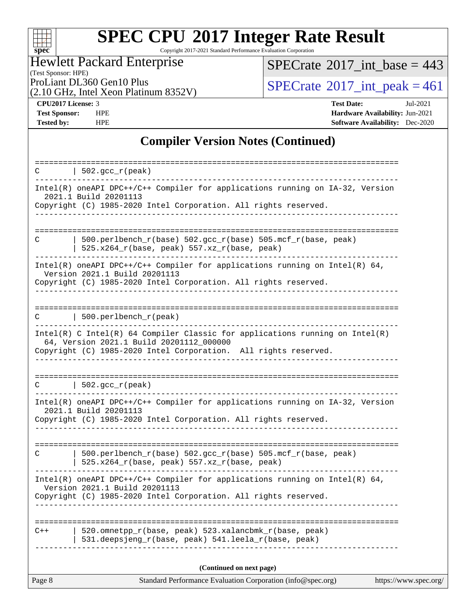

Copyright 2017-2021 Standard Performance Evaluation Corporation

(Test Sponsor: HPE) Hewlett Packard Enterprise

 $SPECrate$ <sup>®</sup>[2017\\_int\\_base =](http://www.spec.org/auto/cpu2017/Docs/result-fields.html#SPECrate2017intbase) 443

(2.10 GHz, Intel Xeon Platinum 8352V)

ProLiant DL360 Gen10 Plus<br>  $(2.10 \text{ GHz})$  Intel Xeon Platinum 8352V) [SPECrate](http://www.spec.org/auto/cpu2017/Docs/result-fields.html#SPECrate2017intpeak)®[2017\\_int\\_peak = 4](http://www.spec.org/auto/cpu2017/Docs/result-fields.html#SPECrate2017intpeak)61

**[CPU2017 License:](http://www.spec.org/auto/cpu2017/Docs/result-fields.html#CPU2017License)** 3 **[Test Date:](http://www.spec.org/auto/cpu2017/Docs/result-fields.html#TestDate)** Jul-2021 **[Test Sponsor:](http://www.spec.org/auto/cpu2017/Docs/result-fields.html#TestSponsor)** HPE **[Hardware Availability:](http://www.spec.org/auto/cpu2017/Docs/result-fields.html#HardwareAvailability)** Jun-2021 **[Tested by:](http://www.spec.org/auto/cpu2017/Docs/result-fields.html#Testedby)** HPE **[Software Availability:](http://www.spec.org/auto/cpu2017/Docs/result-fields.html#SoftwareAvailability)** Dec-2020

#### **[Compiler Version Notes \(Continued\)](http://www.spec.org/auto/cpu2017/Docs/result-fields.html#CompilerVersionNotes)**

| 502.gcc_r(peak)<br>C                                                                                                                                                                        |
|---------------------------------------------------------------------------------------------------------------------------------------------------------------------------------------------|
| Intel(R) oneAPI DPC++/C++ Compiler for applications running on IA-32, Version<br>2021.1 Build 20201113<br>Copyright (C) 1985-2020 Intel Corporation. All rights reserved.                   |
|                                                                                                                                                                                             |
| 500.perlbench_r(base) 502.gcc_r(base) 505.mcf_r(base, peak)<br>C<br>$525.x264_r(base, peak) 557.xz_r(base, peak)$                                                                           |
| $Intel(R)$ oneAPI DPC++/C++ Compiler for applications running on Intel(R) 64,<br>Version 2021.1 Build 20201113<br>Copyright (C) 1985-2020 Intel Corporation. All rights reserved.           |
| 500.perlbench_r(peak)<br>C                                                                                                                                                                  |
| Intel(R) C Intel(R) 64 Compiler Classic for applications running on Intel(R)<br>64, Version 2021.1 Build 20201112_000000<br>Copyright (C) 1985-2020 Intel Corporation. All rights reserved. |
| $  502.\text{gcc_r(peak)}$                                                                                                                                                                  |
| С<br>Intel(R) oneAPI DPC++/C++ Compiler for applications running on IA-32, Version<br>2021.1 Build 20201113<br>Copyright (C) 1985-2020 Intel Corporation. All rights reserved.              |
| 500.perlbench_r(base) 502.gcc_r(base) 505.mcf_r(base, peak)<br>C<br>525.x264_r(base, peak) 557.xz_r(base, peak)                                                                             |
| $Intel(R)$ oneAPI DPC++/C++ Compiler for applications running on Intel(R) 64,<br>Version 2021.1 Build 20201113<br>Copyright (C) 1985-2020 Intel Corporation. All rights reserved.           |
| 520.omnetpp_r(base, peak) 523.xalancbmk_r(base, peak)<br>$C++$<br>531.deepsjeng_r(base, peak) 541.leela_r(base, peak)                                                                       |
| (Continued on next page)                                                                                                                                                                    |
| Page 8<br>Standard Performance Evaluation Corporation (info@spec.org)<br>https://www.spec.org/                                                                                              |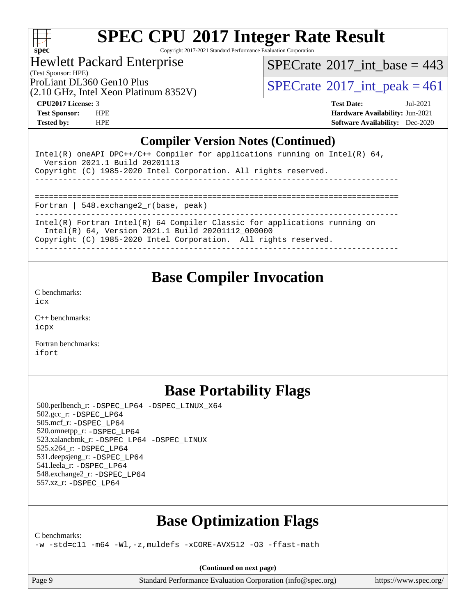

Copyright 2017-2021 Standard Performance Evaluation Corporation

### Hewlett Packard Enterprise

(Test Sponsor: HPE)

 $SPECTate$ <sup>®</sup>[2017\\_int\\_base =](http://www.spec.org/auto/cpu2017/Docs/result-fields.html#SPECrate2017intbase) 443

(2.10 GHz, Intel Xeon Platinum 8352V)

ProLiant DL360 Gen10 Plus  $\begin{array}{c} | \text{SPECrate} \textcirc 2017\_int\_peak = 461 \end{array}$  $\begin{array}{c} | \text{SPECrate} \textcirc 2017\_int\_peak = 461 \end{array}$  $\begin{array}{c} | \text{SPECrate} \textcirc 2017\_int\_peak = 461 \end{array}$ 

**[CPU2017 License:](http://www.spec.org/auto/cpu2017/Docs/result-fields.html#CPU2017License)** 3 **[Test Date:](http://www.spec.org/auto/cpu2017/Docs/result-fields.html#TestDate)** Jul-2021 **[Test Sponsor:](http://www.spec.org/auto/cpu2017/Docs/result-fields.html#TestSponsor)** HPE **[Hardware Availability:](http://www.spec.org/auto/cpu2017/Docs/result-fields.html#HardwareAvailability)** Jun-2021 **[Tested by:](http://www.spec.org/auto/cpu2017/Docs/result-fields.html#Testedby)** HPE **[Software Availability:](http://www.spec.org/auto/cpu2017/Docs/result-fields.html#SoftwareAvailability)** Dec-2020

#### **[Compiler Version Notes \(Continued\)](http://www.spec.org/auto/cpu2017/Docs/result-fields.html#CompilerVersionNotes)**

| Intel(R) oneAPI DPC++/C++ Compiler for applications running on Intel(R) $64$ ,<br>Version 2021.1 Build 20201113<br>Copyright (C) 1985-2020 Intel Corporation. All rights reserved. |
|------------------------------------------------------------------------------------------------------------------------------------------------------------------------------------|
| Fortran   548. exchange $2r(base, peak)$                                                                                                                                           |
| Intel(R) Fortran Intel(R) $64$ Compiler Classic for applications running on<br>Intel(R) 64, Version 2021.1 Build 20201112 000000                                                   |

Copyright (C) 1985-2020 Intel Corporation. All rights reserved.

------------------------------------------------------------------------------

### **[Base Compiler Invocation](http://www.spec.org/auto/cpu2017/Docs/result-fields.html#BaseCompilerInvocation)**

[C benchmarks](http://www.spec.org/auto/cpu2017/Docs/result-fields.html#Cbenchmarks): [icx](http://www.spec.org/cpu2017/results/res2021q3/cpu2017-20210802-28523.flags.html#user_CCbase_intel_icx_fe2d28d19ae2a5db7c42fe0f2a2aed77cb715edd4aeb23434404a8be6683fe239869bb6ca8154ca98265c2e3b9226a719a0efe2953a4a7018c379b7010ccf087)

[C++ benchmarks:](http://www.spec.org/auto/cpu2017/Docs/result-fields.html#CXXbenchmarks) [icpx](http://www.spec.org/cpu2017/results/res2021q3/cpu2017-20210802-28523.flags.html#user_CXXbase_intel_icpx_1e918ed14c436bf4b9b7c8bcdd51d4539fc71b3df010bd1e9f8732d9c34c2b2914e48204a846820f3c0ebb4095dea797a5c30b458ac0b6dffac65d78f781f5ca)

[Fortran benchmarks](http://www.spec.org/auto/cpu2017/Docs/result-fields.html#Fortranbenchmarks): [ifort](http://www.spec.org/cpu2017/results/res2021q3/cpu2017-20210802-28523.flags.html#user_FCbase_intel_ifort_8111460550e3ca792625aed983ce982f94888b8b503583aa7ba2b8303487b4d8a21a13e7191a45c5fd58ff318f48f9492884d4413fa793fd88dd292cad7027ca)

## **[Base Portability Flags](http://www.spec.org/auto/cpu2017/Docs/result-fields.html#BasePortabilityFlags)**

 500.perlbench\_r: [-DSPEC\\_LP64](http://www.spec.org/cpu2017/results/res2021q3/cpu2017-20210802-28523.flags.html#b500.perlbench_r_basePORTABILITY_DSPEC_LP64) [-DSPEC\\_LINUX\\_X64](http://www.spec.org/cpu2017/results/res2021q3/cpu2017-20210802-28523.flags.html#b500.perlbench_r_baseCPORTABILITY_DSPEC_LINUX_X64) 502.gcc\_r: [-DSPEC\\_LP64](http://www.spec.org/cpu2017/results/res2021q3/cpu2017-20210802-28523.flags.html#suite_basePORTABILITY502_gcc_r_DSPEC_LP64) 505.mcf\_r: [-DSPEC\\_LP64](http://www.spec.org/cpu2017/results/res2021q3/cpu2017-20210802-28523.flags.html#suite_basePORTABILITY505_mcf_r_DSPEC_LP64) 520.omnetpp\_r: [-DSPEC\\_LP64](http://www.spec.org/cpu2017/results/res2021q3/cpu2017-20210802-28523.flags.html#suite_basePORTABILITY520_omnetpp_r_DSPEC_LP64) 523.xalancbmk\_r: [-DSPEC\\_LP64](http://www.spec.org/cpu2017/results/res2021q3/cpu2017-20210802-28523.flags.html#suite_basePORTABILITY523_xalancbmk_r_DSPEC_LP64) [-DSPEC\\_LINUX](http://www.spec.org/cpu2017/results/res2021q3/cpu2017-20210802-28523.flags.html#b523.xalancbmk_r_baseCXXPORTABILITY_DSPEC_LINUX) 525.x264\_r: [-DSPEC\\_LP64](http://www.spec.org/cpu2017/results/res2021q3/cpu2017-20210802-28523.flags.html#suite_basePORTABILITY525_x264_r_DSPEC_LP64) 531.deepsjeng\_r: [-DSPEC\\_LP64](http://www.spec.org/cpu2017/results/res2021q3/cpu2017-20210802-28523.flags.html#suite_basePORTABILITY531_deepsjeng_r_DSPEC_LP64) 541.leela\_r: [-DSPEC\\_LP64](http://www.spec.org/cpu2017/results/res2021q3/cpu2017-20210802-28523.flags.html#suite_basePORTABILITY541_leela_r_DSPEC_LP64) 548.exchange2\_r: [-DSPEC\\_LP64](http://www.spec.org/cpu2017/results/res2021q3/cpu2017-20210802-28523.flags.html#suite_basePORTABILITY548_exchange2_r_DSPEC_LP64) 557.xz\_r: [-DSPEC\\_LP64](http://www.spec.org/cpu2017/results/res2021q3/cpu2017-20210802-28523.flags.html#suite_basePORTABILITY557_xz_r_DSPEC_LP64)

## **[Base Optimization Flags](http://www.spec.org/auto/cpu2017/Docs/result-fields.html#BaseOptimizationFlags)**

[C benchmarks](http://www.spec.org/auto/cpu2017/Docs/result-fields.html#Cbenchmarks):

[-w](http://www.spec.org/cpu2017/results/res2021q3/cpu2017-20210802-28523.flags.html#user_CCbase_supress_warning_66fb2c4e5c1dd10f38bdd29623979399e5ae75ae6e5453792d82ef66afed381df4a8602f92cac8d2ea0fffa7b93b4b1ccb9ecad4af01c9b2fe338b2082ae3859) [-std=c11](http://www.spec.org/cpu2017/results/res2021q3/cpu2017-20210802-28523.flags.html#user_CCbase_std-icc-std_0e1c27790398a4642dfca32ffe6c27b5796f9c2d2676156f2e42c9c44eaad0c049b1cdb667a270c34d979996257aeb8fc440bfb01818dbc9357bd9d174cb8524) [-m64](http://www.spec.org/cpu2017/results/res2021q3/cpu2017-20210802-28523.flags.html#user_CCbase_m64-icc) [-Wl,-z,muldefs](http://www.spec.org/cpu2017/results/res2021q3/cpu2017-20210802-28523.flags.html#user_CCbase_link_force_multiple1_b4cbdb97b34bdee9ceefcfe54f4c8ea74255f0b02a4b23e853cdb0e18eb4525ac79b5a88067c842dd0ee6996c24547a27a4b99331201badda8798ef8a743f577) [-xCORE-AVX512](http://www.spec.org/cpu2017/results/res2021q3/cpu2017-20210802-28523.flags.html#user_CCbase_f-xCORE-AVX512) [-O3](http://www.spec.org/cpu2017/results/res2021q3/cpu2017-20210802-28523.flags.html#user_CCbase_f-O3) [-ffast-math](http://www.spec.org/cpu2017/results/res2021q3/cpu2017-20210802-28523.flags.html#user_CCbase_f-ffast-math)

**(Continued on next page)**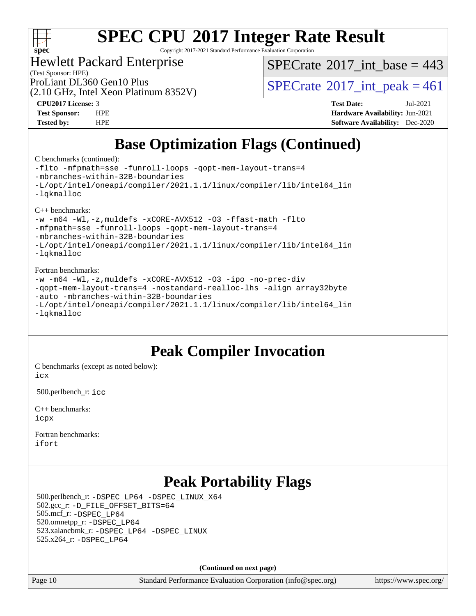

Copyright 2017-2021 Standard Performance Evaluation Corporation

#### Hewlett Packard Enterprise

 $SPECTate$ <sup>®</sup>[2017\\_int\\_base =](http://www.spec.org/auto/cpu2017/Docs/result-fields.html#SPECrate2017intbase) 443

(Test Sponsor: HPE)

(2.10 GHz, Intel Xeon Platinum 8352V)

ProLiant DL360 Gen10 Plus  $\text{SPECrate}^{\circ}2017\_int\_peak = 461$  $\text{SPECrate}^{\circ}2017\_int\_peak = 461$  $\text{SPECrate}^{\circ}2017\_int\_peak = 461$ 

**[CPU2017 License:](http://www.spec.org/auto/cpu2017/Docs/result-fields.html#CPU2017License)** 3 **[Test Date:](http://www.spec.org/auto/cpu2017/Docs/result-fields.html#TestDate)** Jul-2021 **[Test Sponsor:](http://www.spec.org/auto/cpu2017/Docs/result-fields.html#TestSponsor)** HPE **[Hardware Availability:](http://www.spec.org/auto/cpu2017/Docs/result-fields.html#HardwareAvailability)** Jun-2021 **[Tested by:](http://www.spec.org/auto/cpu2017/Docs/result-fields.html#Testedby)** HPE **[Software Availability:](http://www.spec.org/auto/cpu2017/Docs/result-fields.html#SoftwareAvailability)** Dec-2020

## **[Base Optimization Flags \(Continued\)](http://www.spec.org/auto/cpu2017/Docs/result-fields.html#BaseOptimizationFlags)**

[C benchmarks](http://www.spec.org/auto/cpu2017/Docs/result-fields.html#Cbenchmarks) (continued):

```
-flto -mfpmath=sse -funroll-loops -qopt-mem-layout-trans=4
-mbranches-within-32B-boundaries
-L/opt/intel/oneapi/compiler/2021.1.1/linux/compiler/lib/intel64_lin
-lqkmalloc
C++ benchmarks: 
-w -m64 -Wl,-z,muldefs -xCORE-AVX512 -O3 -ffast-math -flto
-mfpmath=sse -funroll-loops -qopt-mem-layout-trans=4
-mbranches-within-32B-boundaries
-L/opt/intel/oneapi/compiler/2021.1.1/linux/compiler/lib/intel64_lin
-lqkmalloc
Fortran benchmarks: 
-w -m64 -Wl,-z,muldefs -xCORE-AVX512 -O3 -ipo -no-prec-div
-qopt-mem-layout-trans=4 -nostandard-realloc-lhs -align array32byte
-auto -mbranches-within-32B-boundaries
-L/opt/intel/oneapi/compiler/2021.1.1/linux/compiler/lib/intel64_lin
-lqkmalloc
```
### **[Peak Compiler Invocation](http://www.spec.org/auto/cpu2017/Docs/result-fields.html#PeakCompilerInvocation)**

[C benchmarks \(except as noted below\)](http://www.spec.org/auto/cpu2017/Docs/result-fields.html#Cbenchmarksexceptasnotedbelow): [icx](http://www.spec.org/cpu2017/results/res2021q3/cpu2017-20210802-28523.flags.html#user_CCpeak_intel_icx_fe2d28d19ae2a5db7c42fe0f2a2aed77cb715edd4aeb23434404a8be6683fe239869bb6ca8154ca98265c2e3b9226a719a0efe2953a4a7018c379b7010ccf087)

500.perlbench\_r: [icc](http://www.spec.org/cpu2017/results/res2021q3/cpu2017-20210802-28523.flags.html#user_peakCCLD500_perlbench_r_intel_icc_66fc1ee009f7361af1fbd72ca7dcefbb700085f36577c54f309893dd4ec40d12360134090235512931783d35fd58c0460139e722d5067c5574d8eaf2b3e37e92)

[C++ benchmarks:](http://www.spec.org/auto/cpu2017/Docs/result-fields.html#CXXbenchmarks) [icpx](http://www.spec.org/cpu2017/results/res2021q3/cpu2017-20210802-28523.flags.html#user_CXXpeak_intel_icpx_1e918ed14c436bf4b9b7c8bcdd51d4539fc71b3df010bd1e9f8732d9c34c2b2914e48204a846820f3c0ebb4095dea797a5c30b458ac0b6dffac65d78f781f5ca)

[Fortran benchmarks](http://www.spec.org/auto/cpu2017/Docs/result-fields.html#Fortranbenchmarks): [ifort](http://www.spec.org/cpu2017/results/res2021q3/cpu2017-20210802-28523.flags.html#user_FCpeak_intel_ifort_8111460550e3ca792625aed983ce982f94888b8b503583aa7ba2b8303487b4d8a21a13e7191a45c5fd58ff318f48f9492884d4413fa793fd88dd292cad7027ca)

## **[Peak Portability Flags](http://www.spec.org/auto/cpu2017/Docs/result-fields.html#PeakPortabilityFlags)**

 500.perlbench\_r: [-DSPEC\\_LP64](http://www.spec.org/cpu2017/results/res2021q3/cpu2017-20210802-28523.flags.html#b500.perlbench_r_peakPORTABILITY_DSPEC_LP64) [-DSPEC\\_LINUX\\_X64](http://www.spec.org/cpu2017/results/res2021q3/cpu2017-20210802-28523.flags.html#b500.perlbench_r_peakCPORTABILITY_DSPEC_LINUX_X64) 502.gcc\_r: [-D\\_FILE\\_OFFSET\\_BITS=64](http://www.spec.org/cpu2017/results/res2021q3/cpu2017-20210802-28523.flags.html#user_peakPORTABILITY502_gcc_r_file_offset_bits_64_5ae949a99b284ddf4e95728d47cb0843d81b2eb0e18bdfe74bbf0f61d0b064f4bda2f10ea5eb90e1dcab0e84dbc592acfc5018bc955c18609f94ddb8d550002c) 505.mcf\_r: [-DSPEC\\_LP64](http://www.spec.org/cpu2017/results/res2021q3/cpu2017-20210802-28523.flags.html#suite_peakPORTABILITY505_mcf_r_DSPEC_LP64) 520.omnetpp\_r: [-DSPEC\\_LP64](http://www.spec.org/cpu2017/results/res2021q3/cpu2017-20210802-28523.flags.html#suite_peakPORTABILITY520_omnetpp_r_DSPEC_LP64) 523.xalancbmk\_r: [-DSPEC\\_LP64](http://www.spec.org/cpu2017/results/res2021q3/cpu2017-20210802-28523.flags.html#suite_peakPORTABILITY523_xalancbmk_r_DSPEC_LP64) [-DSPEC\\_LINUX](http://www.spec.org/cpu2017/results/res2021q3/cpu2017-20210802-28523.flags.html#b523.xalancbmk_r_peakCXXPORTABILITY_DSPEC_LINUX) 525.x264\_r: [-DSPEC\\_LP64](http://www.spec.org/cpu2017/results/res2021q3/cpu2017-20210802-28523.flags.html#suite_peakPORTABILITY525_x264_r_DSPEC_LP64)

**(Continued on next page)**

Page 10 Standard Performance Evaluation Corporation [\(info@spec.org\)](mailto:info@spec.org) <https://www.spec.org/>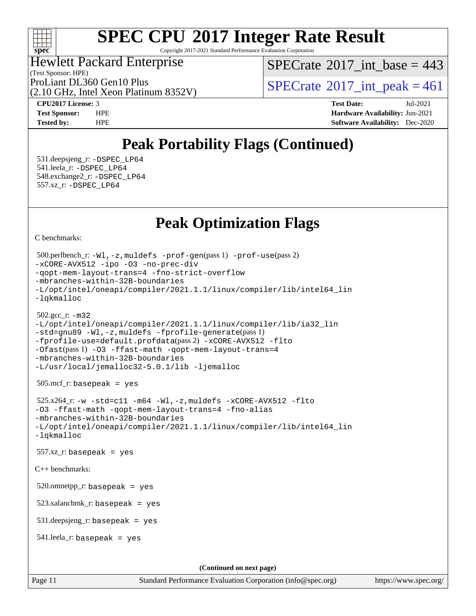

Copyright 2017-2021 Standard Performance Evaluation Corporation

(Test Sponsor: HPE) Hewlett Packard Enterprise

 $SPECTate$ <sup>®</sup>[2017\\_int\\_base =](http://www.spec.org/auto/cpu2017/Docs/result-fields.html#SPECrate2017intbase) 443

(2.10 GHz, Intel Xeon Platinum 8352V)

ProLiant DL360 Gen10 Plus  $\vert$  [SPECrate](http://www.spec.org/auto/cpu2017/Docs/result-fields.html#SPECrate2017intpeak) [2017\\_int\\_peak = 4](http://www.spec.org/auto/cpu2017/Docs/result-fields.html#SPECrate2017intpeak)61

**[CPU2017 License:](http://www.spec.org/auto/cpu2017/Docs/result-fields.html#CPU2017License)** 3 **[Test Date:](http://www.spec.org/auto/cpu2017/Docs/result-fields.html#TestDate)** Jul-2021 **[Test Sponsor:](http://www.spec.org/auto/cpu2017/Docs/result-fields.html#TestSponsor)** HPE **[Hardware Availability:](http://www.spec.org/auto/cpu2017/Docs/result-fields.html#HardwareAvailability)** Jun-2021 **[Tested by:](http://www.spec.org/auto/cpu2017/Docs/result-fields.html#Testedby)** HPE **[Software Availability:](http://www.spec.org/auto/cpu2017/Docs/result-fields.html#SoftwareAvailability)** Dec-2020

## **[Peak Portability Flags \(Continued\)](http://www.spec.org/auto/cpu2017/Docs/result-fields.html#PeakPortabilityFlags)**

 531.deepsjeng\_r: [-DSPEC\\_LP64](http://www.spec.org/cpu2017/results/res2021q3/cpu2017-20210802-28523.flags.html#suite_peakPORTABILITY531_deepsjeng_r_DSPEC_LP64) 541.leela\_r: [-DSPEC\\_LP64](http://www.spec.org/cpu2017/results/res2021q3/cpu2017-20210802-28523.flags.html#suite_peakPORTABILITY541_leela_r_DSPEC_LP64) 548.exchange2\_r: [-DSPEC\\_LP64](http://www.spec.org/cpu2017/results/res2021q3/cpu2017-20210802-28523.flags.html#suite_peakPORTABILITY548_exchange2_r_DSPEC_LP64) 557.xz\_r: [-DSPEC\\_LP64](http://www.spec.org/cpu2017/results/res2021q3/cpu2017-20210802-28523.flags.html#suite_peakPORTABILITY557_xz_r_DSPEC_LP64)

## **[Peak Optimization Flags](http://www.spec.org/auto/cpu2017/Docs/result-fields.html#PeakOptimizationFlags)**

[C benchmarks](http://www.spec.org/auto/cpu2017/Docs/result-fields.html#Cbenchmarks):

```
(info@spec.org)https://www.spec.org/
  500.perlbench_r: -Wl,-z,muldefs -prof-gen(pass 1) -prof-use(pass 2)
-xCORE-AVX512 -ipo -O3 -no-prec-div
-qopt-mem-layout-trans=4 -fno-strict-overflow
-mbranches-within-32B-boundaries
-L/opt/intel/oneapi/compiler/2021.1.1/linux/compiler/lib/intel64_lin
-lqkmalloc
  502.gcc_r: -m32
-L/opt/intel/oneapi/compiler/2021.1.1/linux/compiler/lib/ia32_lin
-std=gnu89 -Wl,-z,muldefs -fprofile-generate(pass 1)
-fprofile-use=default.profdata(pass 2) -xCORE-AVX512 -flto
-Ofast(pass 1) -O3 -ffast-math -qopt-mem-layout-trans=4
-mbranches-within-32B-boundaries
-L/usr/local/jemalloc32-5.0.1/lib -ljemalloc
  505.mcf_r: basepeak = yes
  525.x264_r: -w -std=c11 -m64 -Wl,-z,muldefs -xCORE-AVX512 -flto
-O3 -ffast-math -qopt-mem-layout-trans=4 -fno-alias
-mbranches-within-32B-boundaries
-L/opt/intel/oneapi/compiler/2021.1.1/linux/compiler/lib/intel64_lin
-lqkmalloc
  557.xz_r: basepeak = yes
C++ benchmarks: 
  520.omnetpp_r: basepeak = yes
  523.xalancbmk_r: basepeak = yes
  531.deepsjeng_r: basepeak = yes
  541.leela_r: basepeak = yes
                                     (Continued on next page)
```